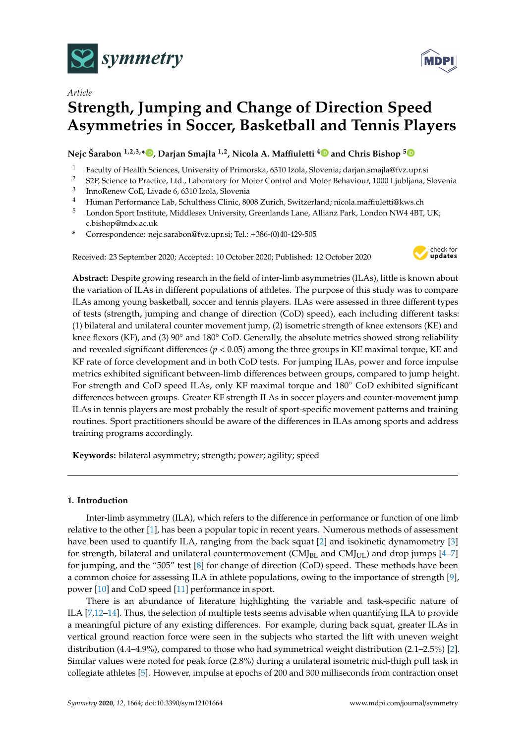



# *Article* **Strength, Jumping and Change of Direction Speed Asymmetries in Soccer, Basketball and Tennis Players**

**Nejc Šarabon 1,2,3,\* [,](https://orcid.org/0000-0003-0747-3735) Darjan Smajla 1,2, Nicola A. Ma**ffi**uletti [4](https://orcid.org/0000-0001-5670-286X) and Chris Bishop [5](https://orcid.org/0000-0002-1505-1287)**

- <sup>1</sup> Faculty of Health Sciences, University of Primorska, 6310 Izola, Slovenia; darjan.smajla@fvz.upr.si<br><sup>2</sup> SPP Science to Practice J td. J aboratory for Motor Control and Motor Rebayiour, 1000 Liubliana (
- <sup>2</sup> S2P, Science to Practice, Ltd., Laboratory for Motor Control and Motor Behaviour, 1000 Ljubljana, Slovenia
- 3 InnoRenew CoE, Livade 6, 6310 Izola, Slovenia
- <sup>4</sup> Human Performance Lab, Schulthess Clinic, 8008 Zurich, Switzerland; nicola.maffiuletti@kws.ch<br><sup>5</sup> Jan der Speck Institute Middlessu University Creation de Lege Allians Perly Jan der NW4 4PT
- <sup>5</sup> London Sport Institute, Middlesex University, Greenlands Lane, Allianz Park, London NW4 4BT, UK; c.bishop@mdx.ac.uk
- **\*** Correspondence: nejc.sarabon@fvz.upr.si; Tel.: +386-(0)40-429-505

Received: 23 September 2020; Accepted: 10 October 2020; Published: 12 October 2020



**Abstract:** Despite growing research in the field of inter-limb asymmetries (ILAs), little is known about the variation of ILAs in different populations of athletes. The purpose of this study was to compare ILAs among young basketball, soccer and tennis players. ILAs were assessed in three different types of tests (strength, jumping and change of direction (CoD) speed), each including different tasks: (1) bilateral and unilateral counter movement jump, (2) isometric strength of knee extensors (KE) and knee flexors (KF), and (3)  $90°$  and  $180°$  CoD. Generally, the absolute metrics showed strong reliability and revealed significant differences (*p* < 0.05) among the three groups in KE maximal torque, KE and KF rate of force development and in both CoD tests. For jumping ILAs, power and force impulse metrics exhibited significant between-limb differences between groups, compared to jump height. For strength and CoD speed ILAs, only KF maximal torque and 180◦ CoD exhibited significant differences between groups. Greater KF strength ILAs in soccer players and counter-movement jump ILAs in tennis players are most probably the result of sport-specific movement patterns and training routines. Sport practitioners should be aware of the differences in ILAs among sports and address training programs accordingly.

**Keywords:** bilateral asymmetry; strength; power; agility; speed

## **1. Introduction**

Inter-limb asymmetry (ILA), which refers to the difference in performance or function of one limb relative to the other [\[1\]](#page-11-0), has been a popular topic in recent years. Numerous methods of assessment have been used to quantify ILA, ranging from the back squat [\[2\]](#page-11-1) and isokinetic dynamometry [\[3\]](#page-11-2) for strength, bilateral and unilateral countermovement ( $\text{CMJ}_{BL}$  and  $\text{CMJ}_{UL}$ ) and drop jumps [\[4](#page-11-3)[–7\]](#page-11-4) for jumping, and the "505" test [\[8\]](#page-11-5) for change of direction (CoD) speed. These methods have been a common choice for assessing ILA in athlete populations, owing to the importance of strength [\[9\]](#page-11-6), power [\[10\]](#page-11-7) and CoD speed [\[11\]](#page-11-8) performance in sport.

There is an abundance of literature highlighting the variable and task-specific nature of ILA [\[7,](#page-11-4)[12–](#page-11-9)[14\]](#page-11-10). Thus, the selection of multiple tests seems advisable when quantifying ILA to provide a meaningful picture of any existing differences. For example, during back squat, greater ILAs in vertical ground reaction force were seen in the subjects who started the lift with uneven weight distribution (4.4–4.9%), compared to those who had symmetrical weight distribution (2.1–2.5%) [\[2\]](#page-11-1). Similar values were noted for peak force (2.8%) during a unilateral isometric mid-thigh pull task in collegiate athletes [\[5\]](#page-11-11). However, impulse at epochs of 200 and 300 milliseconds from contraction onset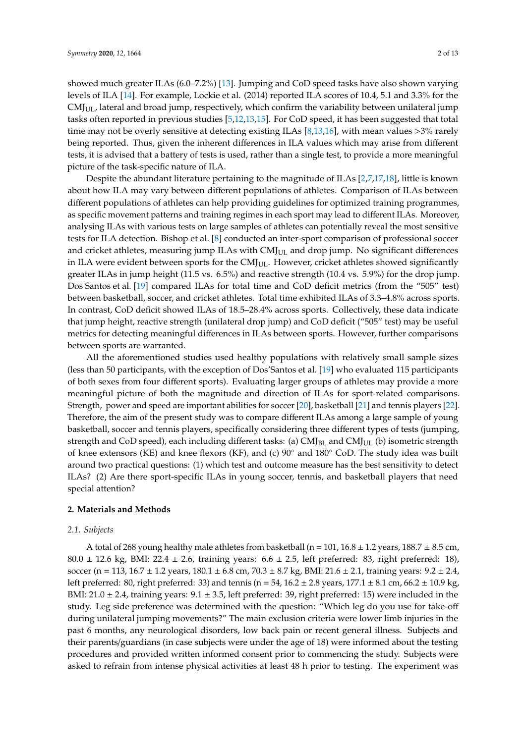showed much greater ILAs (6.0–7.2%) [\[13\]](#page-11-12). Jumping and CoD speed tasks have also shown varying levels of ILA [\[14\]](#page-11-10). For example, Lockie et al. (2014) reported ILA scores of 10.4, 5.1 and 3.3% for the  $CMJ<sub>UL</sub>$ , lateral and broad jump, respectively, which confirm the variability between unilateral jump tasks often reported in previous studies [\[5,](#page-11-11)[12,](#page-11-9)[13,](#page-11-12)[15\]](#page-11-13). For CoD speed, it has been suggested that total time may not be overly sensitive at detecting existing ILAs [\[8](#page-11-5)[,13](#page-11-12)[,16\]](#page-11-14), with mean values >3% rarely being reported. Thus, given the inherent differences in ILA values which may arise from different tests, it is advised that a battery of tests is used, rather than a single test, to provide a more meaningful picture of the task-specific nature of ILA.

Despite the abundant literature pertaining to the magnitude of ILAs [\[2,](#page-11-1)[7,](#page-11-4)[17,](#page-11-15)[18\]](#page-11-16), little is known about how ILA may vary between different populations of athletes. Comparison of ILAs between different populations of athletes can help providing guidelines for optimized training programmes, as specific movement patterns and training regimes in each sport may lead to different ILAs. Moreover, analysing ILAs with various tests on large samples of athletes can potentially reveal the most sensitive tests for ILA detection. Bishop et al. [\[8\]](#page-11-5) conducted an inter-sport comparison of professional soccer and cricket athletes, measuring jump ILAs with CMJ<sub>UL</sub> and drop jump. No significant differences in ILA were evident between sports for the  $CMJ_{UL}$ . However, cricket athletes showed significantly greater ILAs in jump height (11.5 vs. 6.5%) and reactive strength (10.4 vs. 5.9%) for the drop jump. Dos Santos et al. [\[19\]](#page-11-17) compared ILAs for total time and CoD deficit metrics (from the "505" test) between basketball, soccer, and cricket athletes. Total time exhibited ILAs of 3.3–4.8% across sports. In contrast, CoD deficit showed ILAs of 18.5–28.4% across sports. Collectively, these data indicate that jump height, reactive strength (unilateral drop jump) and CoD deficit ("505" test) may be useful metrics for detecting meaningful differences in ILAs between sports. However, further comparisons between sports are warranted.

All the aforementioned studies used healthy populations with relatively small sample sizes (less than 50 participants, with the exception of Dos'Santos et al. [\[19\]](#page-11-17) who evaluated 115 participants of both sexes from four different sports). Evaluating larger groups of athletes may provide a more meaningful picture of both the magnitude and direction of ILAs for sport-related comparisons. Strength, power and speed are important abilities for soccer [\[20\]](#page-11-18), basketball [\[21\]](#page-11-19) and tennis players [\[22\]](#page-11-20). Therefore, the aim of the present study was to compare different ILAs among a large sample of young basketball, soccer and tennis players, specifically considering three different types of tests (jumping, strength and CoD speed), each including different tasks: (a)  $CMJ_{BL}$  and  $CMJ_{UL}$  (b) isometric strength of knee extensors (KE) and knee flexors (KF), and (c) 90◦ and 180◦ CoD. The study idea was built around two practical questions: (1) which test and outcome measure has the best sensitivity to detect ILAs? (2) Are there sport-specific ILAs in young soccer, tennis, and basketball players that need special attention?

### **2. Materials and Methods**

### *2.1. Subjects*

A total of 268 young healthy male athletes from basketball ( $n = 101$ , 16.8  $\pm$  1.2 years, 188.7  $\pm$  8.5 cm,  $80.0 \pm 12.6$  kg, BMI: 22.4  $\pm$  2.6, training years: 6.6  $\pm$  2.5, left preferred: 83, right preferred: 18), soccer (n = 113, 16.7  $\pm$  1.2 years, 180.1  $\pm$  6.8 cm, 70.3  $\pm$  8.7 kg, BMI: 21.6  $\pm$  2.1, training years: 9.2  $\pm$  2.4, left preferred: 80, right preferred: 33) and tennis (n = 54, 16.2 ± 2.8 years, 177.1 ± 8.1 cm, 66.2 ± 10.9 kg, BMI:  $21.0 \pm 2.4$ , training years:  $9.1 \pm 3.5$ , left preferred: 39, right preferred: 15) were included in the study. Leg side preference was determined with the question: "Which leg do you use for take-off during unilateral jumping movements?" The main exclusion criteria were lower limb injuries in the past 6 months, any neurological disorders, low back pain or recent general illness. Subjects and their parents/guardians (in case subjects were under the age of 18) were informed about the testing procedures and provided written informed consent prior to commencing the study. Subjects were asked to refrain from intense physical activities at least 48 h prior to testing. The experiment was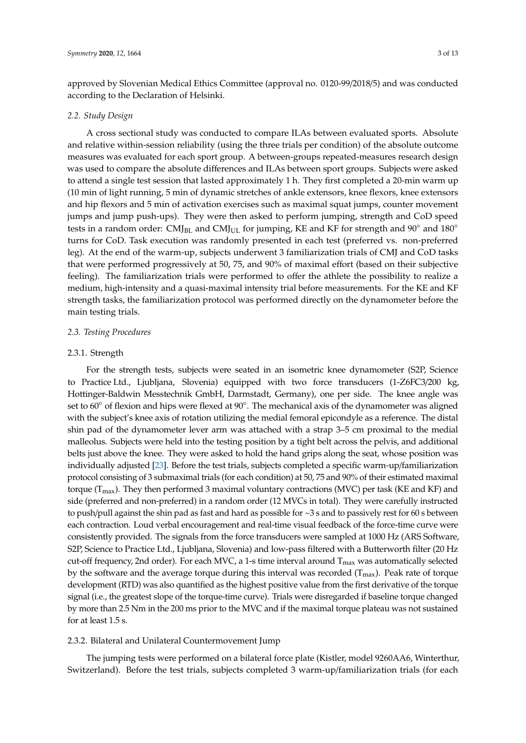approved by Slovenian Medical Ethics Committee (approval no. 0120-99/2018/5) and was conducted according to the Declaration of Helsinki.

#### *2.2. Study Design*

A cross sectional study was conducted to compare ILAs between evaluated sports. Absolute and relative within-session reliability (using the three trials per condition) of the absolute outcome measures was evaluated for each sport group. A between-groups repeated-measures research design was used to compare the absolute differences and ILAs between sport groups. Subjects were asked to attend a single test session that lasted approximately 1 h. They first completed a 20-min warm up (10 min of light running, 5 min of dynamic stretches of ankle extensors, knee flexors, knee extensors and hip flexors and 5 min of activation exercises such as maximal squat jumps, counter movement jumps and jump push-ups). They were then asked to perform jumping, strength and CoD speed tests in a random order: CMJ<sub>BL</sub> and CMJ<sub>UL</sub> for jumping, KE and KF for strength and 90° and 180° turns for CoD. Task execution was randomly presented in each test (preferred vs. non-preferred leg). At the end of the warm-up, subjects underwent 3 familiarization trials of CMJ and CoD tasks that were performed progressively at 50, 75, and 90% of maximal effort (based on their subjective feeling). The familiarization trials were performed to offer the athlete the possibility to realize a medium, high-intensity and a quasi-maximal intensity trial before measurements. For the KE and KF strength tasks, the familiarization protocol was performed directly on the dynamometer before the main testing trials.

### *2.3. Testing Procedures*

## 2.3.1. Strength

For the strength tests, subjects were seated in an isometric knee dynamometer (S2P, Science to Practice Ltd., Ljubljana, Slovenia) equipped with two force transducers (1-Z6FC3/200 kg, Hottinger-Baldwin Messtechnik GmbH, Darmstadt, Germany), one per side. The knee angle was set to 60° of flexion and hips were flexed at 90°. The mechanical axis of the dynamometer was aligned with the subject's knee axis of rotation utilizing the medial femoral epicondyle as a reference. The distal shin pad of the dynamometer lever arm was attached with a strap 3–5 cm proximal to the medial malleolus. Subjects were held into the testing position by a tight belt across the pelvis, and additional belts just above the knee. They were asked to hold the hand grips along the seat, whose position was individually adjusted [\[23\]](#page-12-0). Before the test trials, subjects completed a specific warm-up/familiarization protocol consisting of 3 submaximal trials (for each condition) at 50, 75 and 90% of their estimated maximal torque ( $T_{\text{max}}$ ). They then performed 3 maximal voluntary contractions (MVC) per task (KE and KF) and side (preferred and non-preferred) in a random order (12 MVCs in total). They were carefully instructed to push/pull against the shin pad as fast and hard as possible for ~3 s and to passively rest for 60 s between each contraction. Loud verbal encouragement and real-time visual feedback of the force-time curve were consistently provided. The signals from the force transducers were sampled at 1000 Hz (ARS Software, S2P, Science to Practice Ltd., Ljubljana, Slovenia) and low-pass filtered with a Butterworth filter (20 Hz cut-off frequency, 2nd order). For each MVC, a 1-s time interval around  $T_{\text{max}}$  was automatically selected by the software and the average torque during this interval was recorded  $(T_{\text{max}})$ . Peak rate of torque development (RTD) was also quantified as the highest positive value from the first derivative of the torque signal (i.e., the greatest slope of the torque-time curve). Trials were disregarded if baseline torque changed by more than 2.5 Nm in the 200 ms prior to the MVC and if the maximal torque plateau was not sustained for at least 1.5 s.

### 2.3.2. Bilateral and Unilateral Countermovement Jump

The jumping tests were performed on a bilateral force plate (Kistler, model 9260AA6, Winterthur, Switzerland). Before the test trials, subjects completed 3 warm-up/familiarization trials (for each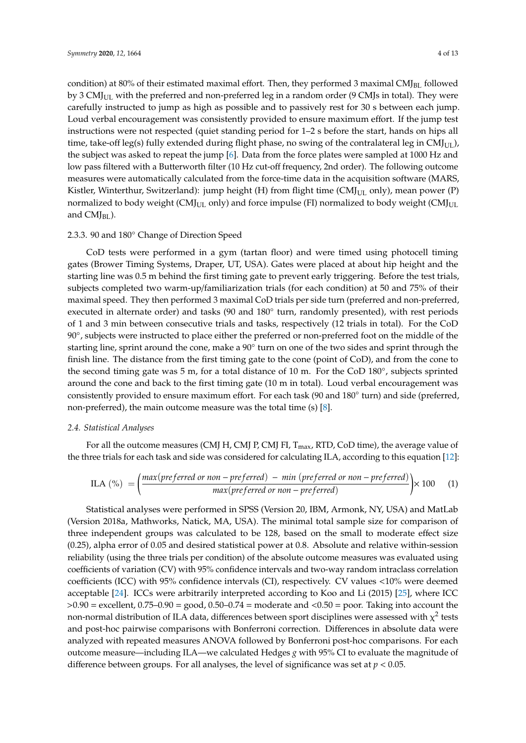condition) at 80% of their estimated maximal effort. Then, they performed 3 maximal CMJ<sub>BL</sub> followed by 3 CMJ<sub>UL</sub> with the preferred and non-preferred leg in a random order (9 CMJs in total). They were carefully instructed to jump as high as possible and to passively rest for 30 s between each jump. Loud verbal encouragement was consistently provided to ensure maximum effort. If the jump test instructions were not respected (quiet standing period for 1–2 s before the start, hands on hips all time, take-off leg(s) fully extended during flight phase, no swing of the contralateral leg in  $CMJ_{UL}$ ), the subject was asked to repeat the jump [\[6\]](#page-11-21). Data from the force plates were sampled at 1000 Hz and low pass filtered with a Butterworth filter (10 Hz cut-off frequency, 2nd order). The following outcome measures were automatically calculated from the force-time data in the acquisition software (MARS, Kistler, Winterthur, Switzerland): jump height (H) from flight time (CMJ<sub>UL</sub> only), mean power (P) normalized to body weight (CMJ<sub>UL</sub> only) and force impulse (FI) normalized to body weight (CMJ<sub>UL</sub> and  $CMJ_{BL}$ ).

### 2.3.3. 90 and 180◦ Change of Direction Speed

CoD tests were performed in a gym (tartan floor) and were timed using photocell timing gates (Brower Timing Systems, Draper, UT, USA). Gates were placed at about hip height and the starting line was 0.5 m behind the first timing gate to prevent early triggering. Before the test trials, subjects completed two warm-up/familiarization trials (for each condition) at 50 and 75% of their maximal speed. They then performed 3 maximal CoD trials per side turn (preferred and non-preferred, executed in alternate order) and tasks (90 and 180° turn, randomly presented), with rest periods of 1 and 3 min between consecutive trials and tasks, respectively (12 trials in total). For the CoD 90°, subjects were instructed to place either the preferred or non-preferred foot on the middle of the starting line, sprint around the cone, make a 90° turn on one of the two sides and sprint through the finish line. The distance from the first timing gate to the cone (point of CoD), and from the cone to the second timing gate was 5 m, for a total distance of 10 m. For the CoD 180°, subjects sprinted around the cone and back to the first timing gate (10 m in total). Loud verbal encouragement was consistently provided to ensure maximum effort. For each task (90 and 180◦ turn) and side (preferred, non-preferred), the main outcome measure was the total time (s) [\[8\]](#page-11-5).

### *2.4. Statistical Analyses*

For all the outcome measures (CMJ H, CMJ P, CMJ FI,  $T_{\text{max}}$ , RTD, CoD time), the average value of the three trials for each task and side was considered for calculating ILA, according to this equation [\[12\]](#page-11-9):

$$
\text{ILA } (\%) = \left( \frac{\max(\text{preferred or non-preferred}) - \min(\text{preferred or non-preferred})}{\max(\text{preferred or non-preferred})} \right) \times 100 \quad (1)
$$

Statistical analyses were performed in SPSS (Version 20, IBM, Armonk, NY, USA) and MatLab (Version 2018a, Mathworks, Natick, MA, USA). The minimal total sample size for comparison of three independent groups was calculated to be 128, based on the small to moderate effect size (0.25), alpha error of 0.05 and desired statistical power at 0.8. Absolute and relative within-session reliability (using the three trials per condition) of the absolute outcome measures was evaluated using coefficients of variation (CV) with 95% confidence intervals and two-way random intraclass correlation coefficients (ICC) with 95% confidence intervals (CI), respectively. CV values <10% were deemed acceptable [\[24\]](#page-12-1). ICCs were arbitrarily interpreted according to Koo and Li (2015) [\[25\]](#page-12-2), where ICC  $>0.90$  = excellent, 0.75–0.90 = good, 0.50–0.74 = moderate and  $< 0.50$  = poor. Taking into account the non-normal distribution of ILA data, differences between sport disciplines were assessed with  $\chi^2$  tests and post-hoc pairwise comparisons with Bonferroni correction. Differences in absolute data were analyzed with repeated measures ANOVA followed by Bonferroni post-hoc comparisons. For each outcome measure—including ILA—we calculated Hedges *g* with 95% CI to evaluate the magnitude of difference between groups. For all analyses, the level of significance was set at *p* < 0.05.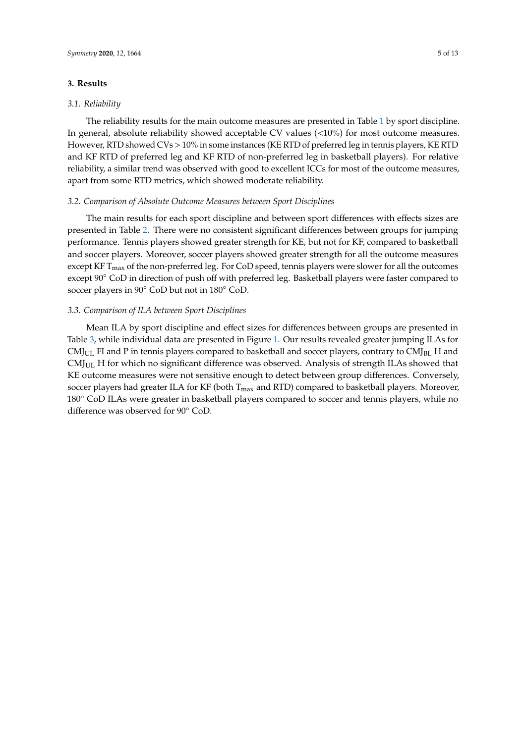## **3. Results**

#### *3.1. Reliability*

The reliability results for the main outcome measures are presented in Table [1](#page-5-0) by sport discipline. In general, absolute reliability showed acceptable CV values (<10%) for most outcome measures. However, RTD showed CVs > 10% in some instances (KE RTD of preferred leg in tennis players, KE RTD and KF RTD of preferred leg and KF RTD of non-preferred leg in basketball players). For relative reliability, a similar trend was observed with good to excellent ICCs for most of the outcome measures, apart from some RTD metrics, which showed moderate reliability.

#### *3.2. Comparison of Absolute Outcome Measures between Sport Disciplines*

The main results for each sport discipline and between sport differences with effects sizes are presented in Table [2.](#page-6-0) There were no consistent significant differences between groups for jumping performance. Tennis players showed greater strength for KE, but not for KF, compared to basketball and soccer players. Moreover, soccer players showed greater strength for all the outcome measures except KF  $T_{\text{max}}$  of the non-preferred leg. For CoD speed, tennis players were slower for all the outcomes except 90◦ CoD in direction of push off with preferred leg. Basketball players were faster compared to soccer players in 90◦ CoD but not in 180◦ CoD.

#### *3.3. Comparison of ILA between Sport Disciplines*

Mean ILA by sport discipline and effect sizes for differences between groups are presented in Table [3,](#page-7-0) while individual data are presented in Figure [1.](#page-8-0) Our results revealed greater jumping ILAs for  $CMJ<sub>UL</sub>$  FI and P in tennis players compared to basketball and soccer players, contrary to  $CMJ<sub>BL</sub>$  H and  $CMJ<sub>U</sub>$  H for which no significant difference was observed. Analysis of strength ILAs showed that KE outcome measures were not sensitive enough to detect between group differences. Conversely, soccer players had greater ILA for KF (both  $T_{\text{max}}$  and RTD) compared to basketball players. Moreover, 180◦ CoD ILAs were greater in basketball players compared to soccer and tennis players, while no difference was observed for 90◦ CoD.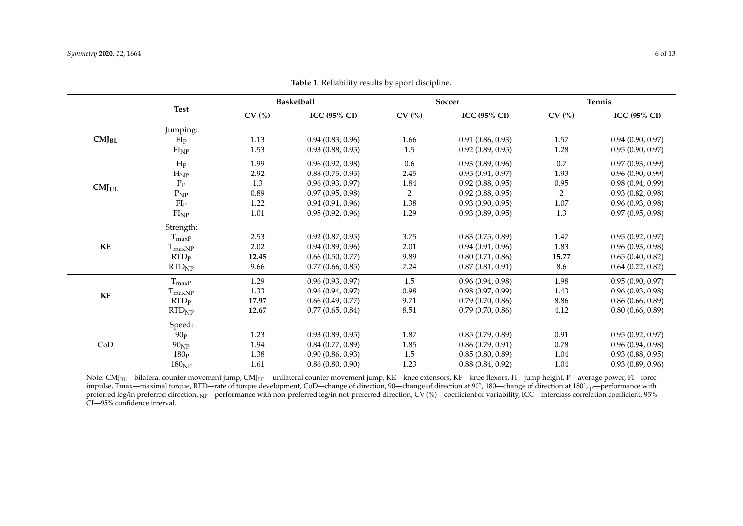|                   | <b>Test</b>              | Basketball |                     | Soccer  |                     | Tennis |                     |
|-------------------|--------------------------|------------|---------------------|---------|---------------------|--------|---------------------|
|                   |                          | CV(%)      | <b>ICC (95% CI)</b> | CV(%)   | <b>ICC (95% CI)</b> | CV(%)  | <b>ICC (95% CI)</b> |
|                   | Jumping:                 |            |                     |         |                     |        |                     |
| $CMJ_{BL}$        | FI <sub>P</sub>          | 1.13       | 0.94(0.83, 0.96)    | 1.66    | 0.91(0.86, 0.93)    | 1.57   | 0.94(0.90, 0.97)    |
|                   | FI <sub>NP</sub>         | 1.53       | 0.93(0.88, 0.95)    | $1.5\,$ | 0.92(0.89, 0.95)    | 1.28   | 0.95(0.90, 0.97)    |
|                   | $H_{P}$                  | 1.99       | 0.96(0.92, 0.98)    | 0.6     | 0.93(0.89, 0.96)    | 0.7    | 0.97(0.93, 0.99)    |
|                   | $H_{NP}$                 | 2.92       | 0.88(0.75, 0.95)    | 2.45    | 0.95(0.91, 0.97)    | 1.93   | 0.96(0.90, 0.99)    |
|                   | $P_{P}$                  | 1.3        | 0.96(0.93, 0.97)    | 1.84    | 0.92(0.88, 0.95)    | 0.95   | 0.98(0.94, 0.99)    |
| CMJ <sub>UL</sub> | $P_{NP}$                 | 0.89       | 0.97(0.95, 0.98)    | 2       | 0.92(0.88, 0.95)    | 2      | 0.93(0.82, 0.98)    |
|                   | FI <sub>P</sub>          | 1.22       | 0.94(0.91, 0.96)    | 1.38    | 0.93(0.90, 0.95)    | 1.07   | 0.96(0.93, 0.98)    |
|                   | FI <sub>NP</sub>         | 1.01       | 0.95(0.92, 0.96)    | 1.29    | 0.93(0.89, 0.95)    | 1.3    | 0.97(0.95, 0.98)    |
|                   | Strength:                |            |                     |         |                     |        |                     |
|                   | $T_{maxP}$               | 2.53       | 0.92(0.87, 0.95)    | 3.75    | 0.83(0.75, 0.89)    | 1.47   | 0.95(0.92, 0.97)    |
| KE                | $\rm T_{maxNP}$          | 2.02       | 0.94(0.89, 0.96)    | 2.01    | 0.94(0.91, 0.96)    | 1.83   | 0.96(0.93, 0.98)    |
|                   | $RTD_P$                  | 12.45      | 0.66(0.50, 0.77)    | 9.89    | 0.80(0.71, 0.86)    | 15.77  | 0.65(0.40, 0.82)    |
|                   | $RTD_{NP}$               | 9.66       | 0.77(0.66, 0.85)    | 7.24    | 0.87(0.81, 0.91)    | 8.6    | 0.64(0.22, 0.82)    |
|                   | $T_{maxP}$               | 1.29       | 0.96(0.93, 0.97)    | 1.5     | 0.96(0.94, 0.98)    | 1.98   | 0.95(0.90, 0.97)    |
| KF                | $T_{\text{maxNP}}$       | 1.33       | 0.96(0.94, 0.97)    | 0.98    | 0.98(0.97, 0.99)    | 1.43   | 0.96(0.93, 0.98)    |
|                   | $RTD_P$                  | 17.97      | 0.66(0.49, 0.77)    | 9.71    | 0.79(0.70, 0.86)    | 8.86   | 0.86(0.66, 0.89)    |
|                   | $\text{RTD}_{\text{NP}}$ | 12.67      | 0.77(0.65, 0.84)    | 8.51    | 0.79(0.70, 0.86)    | 4.12   | 0.80(0.66, 0.89)    |
|                   | Speed:                   |            |                     |         |                     |        |                     |
| CoD               | 90 <sub>P</sub>          | 1.23       | 0.93(0.89, 0.95)    | 1.87    | 0.85(0.79, 0.89)    | 0.91   | 0.95(0.92, 0.97)    |
|                   | $90_{NP}$                | 1.94       | 0.84(0.77, 0.89)    | 1.85    | 0.86(0.79, 0.91)    | 0.78   | 0.96(0.94, 0.98)    |
|                   | 180 <sub>P</sub>         | 1.38       | 0.90(0.86, 0.93)    | 1.5     | 0.85(0.80, 0.89)    | 1.04   | 0.93(0.88, 0.95)    |
|                   | 180 <sub>NP</sub>        | 1.61       | 0.86(0.80, 0.90)    | 1.23    | 0.88(0.84, 0.92)    | 1.04   | 0.93(0.89, 0.96)    |

**Table 1.** Reliability results by sport discipline.

<span id="page-5-0"></span>Note: CMJ<sub>BL</sub>—bilateral counter movement jump, CMJ<sub>UL</sub>—unilateral counter movement jump, KE—knee extensors, KF—knee flexors, H—jump height, P—average power, FI—force impulse, Tmax—maximal torque, RTD—rate of torque development, CoD—change of direction, 90—change of direction at 180° at the mannel with preferred leg/in preferred direction, <sub>NP</sub>—performance with non-preferred leg/in not-preferred direction, CV (%)—coefficient of variability, ICC—interclass correlation coefficient, 95% CI—95% confidence interval.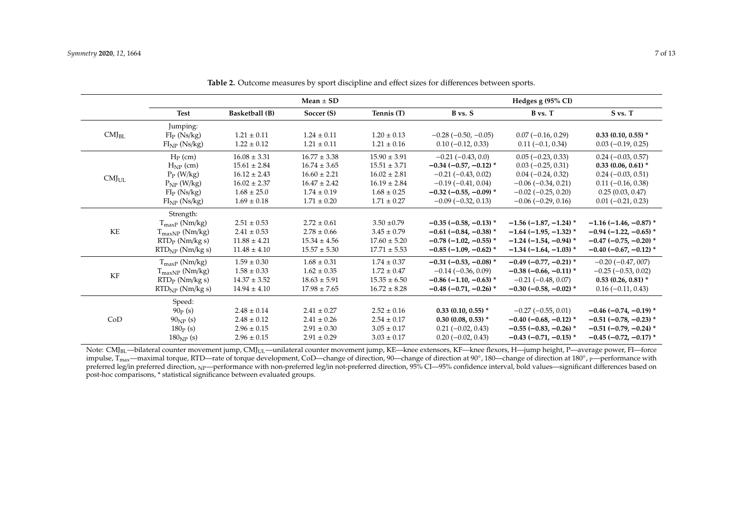|            |                           | $Mean \pm SD$    |                  |                  | Hedges g (95% CI)               |                                 |                                 |  |
|------------|---------------------------|------------------|------------------|------------------|---------------------------------|---------------------------------|---------------------------------|--|
|            | <b>Test</b>               | Basketball (B)   | Soccer (S)       | Tennis (T)       | B vs. S                         | B vs. T                         | $S$ vs. $T$                     |  |
|            | Jumping:                  |                  |                  |                  |                                 |                                 |                                 |  |
| $CMJ_{BL}$ | $FI_{P}$ (Ns/kg)          | $1.21 \pm 0.11$  | $1.24 \pm 0.11$  | $1.20 \pm 0.13$  | $-0.28$ ( $-0.50$ , $-0.05$ )   | $0.07(-0.16, 0.29)$             | $0.33(0.10, 0.55)$ *            |  |
|            | $FI_{NP}$ (Ns/kg)         | $1.22 \pm 0.12$  | $1.21 \pm 0.11$  | $1.21 \pm 0.16$  | $0.10(-0.12, 0.33)$             | $0.11 (-0.1, 0.34)$             | $0.03$ (-0.19, 0.25)            |  |
| $CMJ_{UL}$ | $H_P$ (cm)                | $16.08 \pm 3.31$ | $16.77 \pm 3.38$ | $15.90 \pm 3.91$ | $-0.21(-0.43, 0.0)$             | $0.05(-0.23, 0.33)$             | $0.24 (-0.03, 0.57)$            |  |
|            | $H_{NP}$ (cm)             | $15.61 \pm 2.84$ | $16.74 \pm 3.65$ | $15.51 \pm 3.71$ | $-0.34$ ( $-0.57$ , $-0.12$ ) * | $0.03(-0.25, 0.31)$             | $0.33(0.06, 0.61)$ *            |  |
|            | $P_P$ (W/kg)              | $16.12 \pm 2.43$ | $16.60 \pm 2.21$ | $16.02 \pm 2.81$ | $-0.21(-0.43, 0.02)$            | $0.04 (-0.24, 0.32)$            | $0.24(-0.03, 0.51)$             |  |
|            | $P_{NP}$ (W/kg)           | $16.02 \pm 2.37$ | $16.47 \pm 2.42$ | $16.19 \pm 2.84$ | $-0.19(-0.41, 0.04)$            | $-0.06$ ( $-0.34$ , 0.21)       | $0.11 (-0.16, 0.38)$            |  |
|            | $FIP$ (Ns/kg)             | $1.68 \pm 25.0$  | $1.74 \pm 0.19$  | $1.68 \pm 0.25$  | $-0.32$ ( $-0.55$ , $-0.09$ ) * | $-0.02$ ( $-0.25$ , 0.20)       | 0.25(0.03, 0.47)                |  |
|            | $FI_{NP}$ (Ns/kg)         | $1.69 \pm 0.18$  | $1.71 \pm 0.20$  | $1.71 \pm 0.27$  | $-0.09(-0.32, 0.13)$            | $-0.06$ ( $-0.29$ , 0.16)       | $0.01 (-0.21, 0.23)$            |  |
|            | Strength:                 |                  |                  |                  |                                 |                                 |                                 |  |
|            | $T_{\text{maxP}}$ (Nm/kg) | $2.51 \pm 0.53$  | $2.72 \pm 0.61$  | $3.50 \pm 0.79$  | $-0.35$ ( $-0.58$ , $-0.13$ ) * | $-1.56$ ( $-1.87$ , $-1.24$ ) * | $-1.16$ (-1.46, -0.87) *        |  |
| KE         | $T_{maxNP}$ (Nm/kg)       | $2.41 \pm 0.53$  | $2.78 \pm 0.66$  | $3.45 \pm 0.79$  | $-0.61(-0.84, -0.38)$ *         | $-1.64$ (-1.95, -1.32) *        | $-0.94$ (-1.22, -0.65) *        |  |
|            | $RTD_P$ (Nm/kg s)         | $11.88 \pm 4.21$ | $15.34 \pm 4.56$ | $17.60 \pm 5.20$ | $-0.78$ ( $-1.02$ , $-0.55$ ) * | $-1.24$ (-1.54, -0.94) *        | $-0.47$ (-0.75, -0.20) *        |  |
|            | $RTD_{NP}$ (Nm/kg s)      | $11.48 \pm 4.10$ | $15.57 \pm 5.30$ | $17.71 \pm 5.53$ | $-0.85$ (-1.09, -0.62) *        | $-1.34(-1.64,-1.03)$ *          | $-0.40$ ( $-0.67$ , $-0.12$ ) * |  |
| KF         | $T_{\text{maxP}}$ (Nm/kg) | $1.59 \pm 0.30$  | $1.68 \pm 0.31$  | $1.74 \pm 0.37$  | $-0.31$ ( $-0.53$ , $-0.08$ ) * | $-0.49$ ( $-0.77, -0.21$ ) *    | $-0.20$ $(-0.47, 007)$          |  |
|            | $T_{maxNP}$ (Nm/kg)       | $1.58 \pm 0.33$  | $1.62 \pm 0.35$  | $1.72 \pm 0.47$  | $-0.14(-0.36, 0.09)$            | $-0.38$ ( $-0.66$ , $-0.11$ ) * | $-0.25$ ( $-0.53$ , 0.02)       |  |
|            | $RTD_P$ (Nm/kg s)         | $14.37 \pm 3.52$ | $18.63 \pm 5.91$ | $15.35 \pm 6.50$ | $-0.86$ ( $-1.10$ , $-0.63$ ) * | $-0.21$ ( $-0.48$ , 0.07)       | $0.53(0.26, 0.81)$ *            |  |
|            | $RTD_{NP}$ (Nm/kg s)      | $14.94 \pm 4.10$ | $17.98 \pm 7.65$ | $16.72 \pm 8.28$ | $-0.48$ ( $-0.71$ , $-0.26$ ) * | $-0.30$ ( $-0.58$ , $-0.02$ ) * | $0.16(-0.11, 0.43)$             |  |
| CoD        | Speed:                    |                  |                  |                  |                                 |                                 |                                 |  |
|            | $90_{P}(s)$               | $2.48 \pm 0.14$  | $2.41 \pm 0.27$  | $2.52 \pm 0.16$  | $0.33$ (0.10, 0.55) $*$         | $-0.27$ ( $-0.55$ , 0.01)       | $-0.46$ ( $-0.74$ , $-0.19$ ) * |  |
|            | $90_{\rm NP}$ (s)         | $2.48 \pm 0.12$  | $2.41 \pm 0.26$  | $2.54 \pm 0.17$  | $0.30(0.08, 0.53)$ *            | $-0.40$ ( $-0.68$ , $-0.12$ ) * | $-0.51(-0.78, -0.23)$ *         |  |
|            | $180P$ (s)                | $2.96 \pm 0.15$  | $2.91 \pm 0.30$  | $3.05 \pm 0.17$  | $0.21 (-0.02, 0.43)$            | $-0.55$ ( $-0.83$ , $-0.26$ ) * | $-0.51(-0.79, -0.24)$ *         |  |
|            | $180_{\rm NP}$ (s)        | $2.96 \pm 0.15$  | $2.91 \pm 0.29$  | $3.03 \pm 0.17$  | $0.20(-0.02, 0.43)$             | $-0.43$ ( $-0.71$ , $-0.15$ ) * | $-0.45$ (-0.72, -0.17) *        |  |

**Table 2.** Outcome measures by sport discipline and effect sizes for differences between sports.

<span id="page-6-0"></span>Note: CMJ<sub>BL</sub>—bilateral counter movement jump, CMJ<sub>UL</sub>—unilateral counter movement jump, KE—knee extensors, KF—knee flexors, H—jump height, P—average power, FI—force impulse, Tmax—maximal torque, RTD—rate of torque development, CoD—change of direction, 90—change of direction at 90◦ , 180—change of direction at 180◦ , <sup>P</sup>—performance with preferred leg/in preferred direction, <sub>NP</sub>—performance with non-preferred leg/in not-preferred direction, 95% CI—95% confidence interval, bold values—significant differences based on post-hoc comparisons, \* statistical significance between evaluated groups.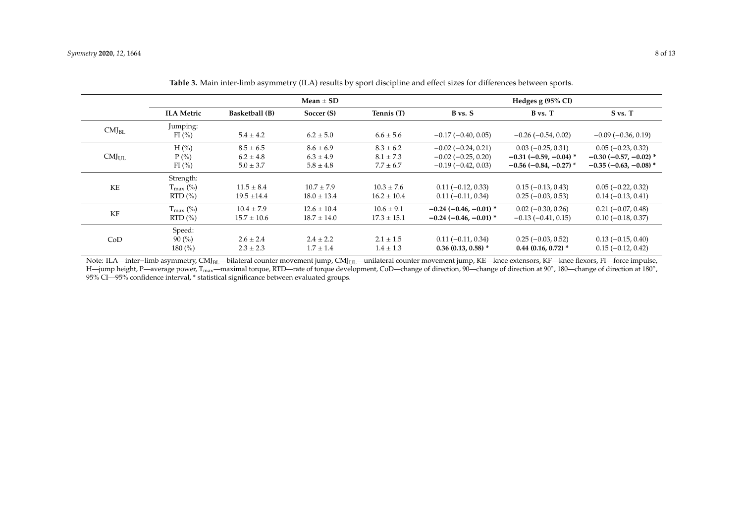|                   |                                                | Mean $\pm$ SD                                   |                                                 |                                                 | Hedges $g(95\% \text{ CI})$                                                    |                                                                                  |                                                                                   |  |
|-------------------|------------------------------------------------|-------------------------------------------------|-------------------------------------------------|-------------------------------------------------|--------------------------------------------------------------------------------|----------------------------------------------------------------------------------|-----------------------------------------------------------------------------------|--|
|                   | <b>ILA Metric</b>                              | Basketball (B)                                  | Soccer (S)                                      | Tennis (T)                                      | B vs. S                                                                        | B vs. T                                                                          | $S$ vs. $T$                                                                       |  |
| CMJ <sub>BL</sub> | Jumping:<br>$FI$ $\left(\frac{\%}{\%}\right)$  | $5.4 \pm 4.2$                                   | $6.2 \pm 5.0$                                   | $6.6 \pm 5.6$                                   | $-0.17(-0.40, 0.05)$                                                           | $-0.26$ ( $-0.54$ , 0.02)                                                        | $-0.09$ ( $-0.36$ , 0.19)                                                         |  |
| $CMJ_{UL}$        | $H(\% )$<br>$P(\% )$<br>$FI$ (%)               | $8.5 \pm 6.5$<br>$6.2 \pm 4.8$<br>$5.0 \pm 3.7$ | $8.6 \pm 6.9$<br>$6.3 \pm 4.9$<br>$5.8 \pm 4.8$ | $8.3 \pm 6.2$<br>$8.1 \pm 7.3$<br>$7.7 \pm 6.7$ | $-0.02$ ( $-0.24$ , 0.21)<br>$-0.02$ ( $-0.25$ , 0.20)<br>$-0.19(-0.42, 0.03)$ | $0.03(-0.25, 0.31)$<br>$-0.31(-0.59,-0.04)$ *<br>$-0.56$ ( $-0.84$ , $-0.27$ ) * | $0.05(-0.23, 0.32)$<br>$-0.30$ ( $-0.57$ , $-0.02$ ) *<br>$-0.35(-0.63, -0.08)$ * |  |
| KE                | Strength:<br>$T_{\text{max}}$ (%)<br>$RTD$ $%$ | $11.5 \pm 8.4$<br>$19.5 \pm 14.4$               | $10.7 \pm 7.9$<br>$18.0 \pm 13.4$               | $10.3 \pm 7.6$<br>$16.2 \pm 10.4$               | $0.11 (-0.12, 0.33)$<br>$0.11(-0.11, 0.34)$                                    | $0.15(-0.13, 0.43)$<br>$0.25(-0.03, 0.53)$                                       | $0.05(-0.22, 0.32)$<br>$0.14(-0.13, 0.41)$                                        |  |
| KF                | $T_{\text{max}}$ (%)<br>$RTD$ $%$              | $10.4 \pm 7.9$<br>$15.7 \pm 10.6$               | $12.6 \pm 10.4$<br>$18.7 \pm 14.0$              | $10.6 \pm 9.1$<br>$17.3 \pm 15.1$               | $-0.24$ (-0.46, -0.01) *<br>$-0.24$ (-0.46, -0.01) *                           | $0.02(-0.30, 0.26)$<br>$-0.13$ $(-0.41, 0.15)$                                   | $0.21(-0.07, 0.48)$<br>$0.10(-0.18, 0.37)$                                        |  |
| CoD               | Speed:<br>$90\,(%)$<br>180 $(\% )$             | $2.6 \pm 2.4$<br>$2.3 \pm 2.3$                  | $2.4 \pm 2.2$<br>$1.7 \pm 1.4$                  | $2.1 \pm 1.5$<br>$1.4 \pm 1.3$                  | $0.11(-0.11, 0.34)$<br>$0.36$ $(0.13, 0.58)$ *                                 | $0.25(-0.03, 0.52)$<br>$0.44$ (0.16, 0.72) $*$                                   | $0.13(-0.15, 0.40)$<br>$0.15(-0.12, 0.42)$                                        |  |

**Table 3.** Main inter-limb asymmetry (ILA) results by sport discipline and effect sizes for differences between sports.

<span id="page-7-0"></span>Note: ILA—inter-limb asymmetry, CMJ<sub>BL</sub>—bilateral counter movement jump, CMJ<sub>UL</sub>—unilateral counter movement jump, KE—knee extensors, KF—knee flexors, FI—force impulse, H—jump height, P—average power, T<sub>max</sub>—maximal torque, RTD—rate of torque development, CoD—change of direction, 90—change of direction at 90°, 180—change of direction at 180°, 95% CI—95% confidence interval, \* statistical significance between evaluated groups.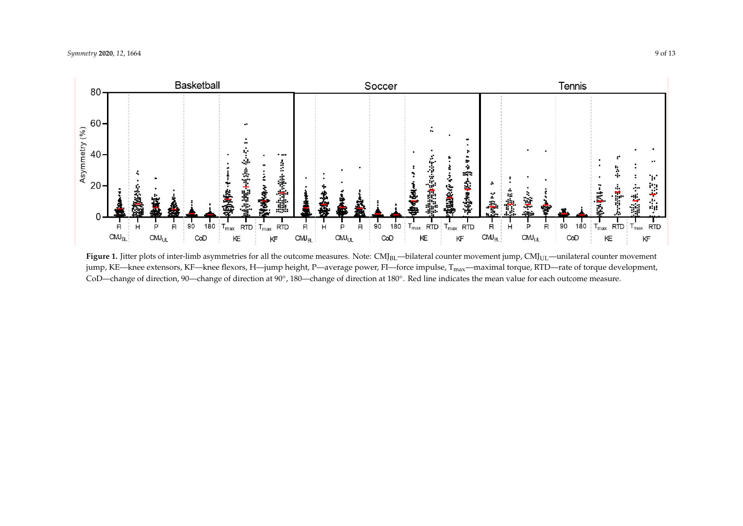

<span id="page-8-0"></span>Figure 1. Jitter plots of inter-limb asymmetries for all the outcome measures. Note: CMJ<sub>BL</sub>—bilateral counter movement jump, CMJ<sub>UL</sub>—unilateral counter movement jump, KE—knee extensors, KF—knee flexors, H—jump height, P—average power, FI—force impulse, T<sub>max</sub>—maximal torque, RTD—rate of torque development, CoD—change of direction, 90—change of direction at 90°, 180—change of direction at 180°. Red line indicates the mean value for each outcome measure.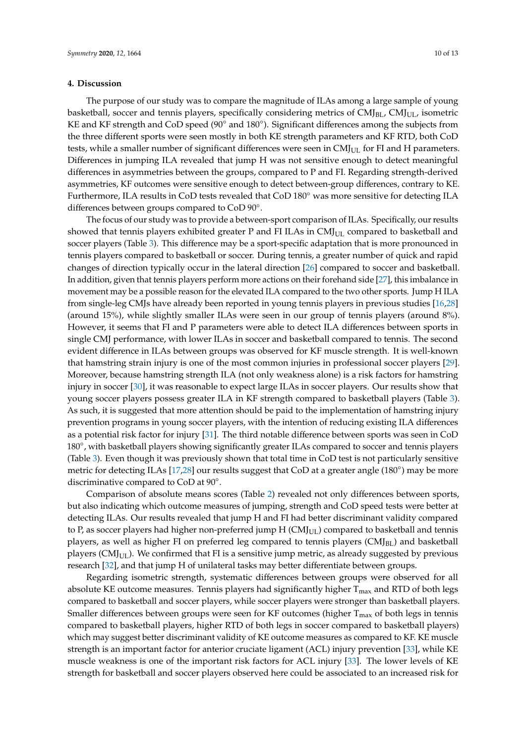### **4. Discussion**

The purpose of our study was to compare the magnitude of ILAs among a large sample of young basketball, soccer and tennis players, specifically considering metrics of  $CMJ_{BL}$ ,  $CMJ_{UL}$ , isometric KE and KF strength and CoD speed (90° and 180°). Significant differences among the subjects from the three different sports were seen mostly in both KE strength parameters and KF RTD, both CoD tests, while a smaller number of significant differences were seen in  $CMJ<sub>UL</sub>$  for FI and H parameters. Differences in jumping ILA revealed that jump H was not sensitive enough to detect meaningful differences in asymmetries between the groups, compared to P and FI. Regarding strength-derived asymmetries, KF outcomes were sensitive enough to detect between-group differences, contrary to KE. Furthermore, ILA results in CoD tests revealed that CoD 180◦ was more sensitive for detecting ILA differences between groups compared to CoD 90°.

The focus of our study was to provide a between-sport comparison of ILAs. Specifically, our results showed that tennis players exhibited greater P and FI ILAs in  $CMJ_{UL}$  compared to basketball and soccer players (Table [3\)](#page-7-0). This difference may be a sport-specific adaptation that is more pronounced in tennis players compared to basketball or soccer. During tennis, a greater number of quick and rapid changes of direction typically occur in the lateral direction [\[26\]](#page-12-3) compared to soccer and basketball. In addition, given that tennis players perform more actions on their forehand side [\[27\]](#page-12-4), this imbalance in movement may be a possible reason for the elevated ILA compared to the two other sports. Jump H ILA from single-leg CMJs have already been reported in young tennis players in previous studies [\[16](#page-11-14)[,28\]](#page-12-5) (around 15%), while slightly smaller ILAs were seen in our group of tennis players (around 8%). However, it seems that FI and P parameters were able to detect ILA differences between sports in single CMJ performance, with lower ILAs in soccer and basketball compared to tennis. The second evident difference in ILAs between groups was observed for KF muscle strength. It is well-known that hamstring strain injury is one of the most common injuries in professional soccer players [\[29\]](#page-12-6). Moreover, because hamstring strength ILA (not only weakness alone) is a risk factors for hamstring injury in soccer [\[30\]](#page-12-7), it was reasonable to expect large ILAs in soccer players. Our results show that young soccer players possess greater ILA in KF strength compared to basketball players (Table [3\)](#page-7-0). As such, it is suggested that more attention should be paid to the implementation of hamstring injury prevention programs in young soccer players, with the intention of reducing existing ILA differences as a potential risk factor for injury [\[31\]](#page-12-8). The third notable difference between sports was seen in CoD 180°, with basketball players showing significantly greater ILAs compared to soccer and tennis players (Table [3\)](#page-7-0). Even though it was previously shown that total time in CoD test is not particularly sensitive metric for detecting ILAs [\[17](#page-11-15)[,28\]](#page-12-5) our results suggest that CoD at a greater angle (180°) may be more discriminative compared to CoD at 90◦ .

Comparison of absolute means scores (Table [2\)](#page-6-0) revealed not only differences between sports, but also indicating which outcome measures of jumping, strength and CoD speed tests were better at detecting ILAs. Our results revealed that jump H and FI had better discriminant validity compared to P, as soccer players had higher non-preferred jump H ( $CMJ_{UL}$ ) compared to basketball and tennis players, as well as higher FI on preferred leg compared to tennis players (CMJ<sub>BL</sub>) and basketball players ( $CMJ<sub>U</sub>$ ). We confirmed that FI is a sensitive jump metric, as already suggested by previous research [\[32\]](#page-12-9), and that jump H of unilateral tasks may better differentiate between groups.

Regarding isometric strength, systematic differences between groups were observed for all absolute KE outcome measures. Tennis players had significantly higher  $T_{\text{max}}$  and RTD of both legs compared to basketball and soccer players, while soccer players were stronger than basketball players. Smaller differences between groups were seen for KF outcomes (higher  $T_{\text{max}}$  of both legs in tennis compared to basketball players, higher RTD of both legs in soccer compared to basketball players) which may suggest better discriminant validity of KE outcome measures as compared to KF. KE muscle strength is an important factor for anterior cruciate ligament (ACL) injury prevention [\[33\]](#page-12-10), while KE muscle weakness is one of the important risk factors for ACL injury [\[33\]](#page-12-10). The lower levels of KE strength for basketball and soccer players observed here could be associated to an increased risk for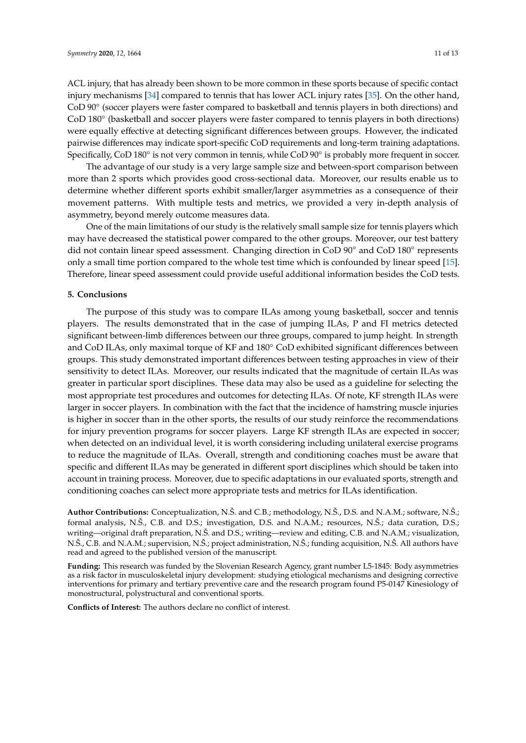ACL injury, that has already been shown to be more common in these sports because of specific contact injury mechanisms [\[34\]](#page-12-11) compared to tennis that has lower ACL injury rates [\[35\]](#page-12-12). On the other hand, CoD 90° (soccer players were faster compared to basketball and tennis players in both directions) and CoD 180◦ (basketball and soccer players were faster compared to tennis players in both directions) were equally effective at detecting significant differences between groups. However, the indicated pairwise differences may indicate sport-specific CoD requirements and long-term training adaptations. Specifically, CoD 180◦ is not very common in tennis, while CoD 90◦ is probably more frequent in soccer.

The advantage of our study is a very large sample size and between-sport comparison between more than 2 sports which provides good cross-sectional data. Moreover, our results enable us to determine whether different sports exhibit smaller/larger asymmetries as a consequence of their movement patterns. With multiple tests and metrics, we provided a very in-depth analysis of asymmetry, beyond merely outcome measures data.

One of the main limitations of our study is the relatively small sample size for tennis players which may have decreased the statistical power compared to the other groups. Moreover, our test battery did not contain linear speed assessment. Changing direction in CoD 90° and CoD 180° represents only a small time portion compared to the whole test time which is confounded by linear speed [\[15\]](#page-11-13). Therefore, linear speed assessment could provide useful additional information besides the CoD tests.

### **5. Conclusions**

The purpose of this study was to compare ILAs among young basketball, soccer and tennis players. The results demonstrated that in the case of jumping ILAs, P and FI metrics detected significant between-limb differences between our three groups, compared to jump height. In strength and CoD ILAs, only maximal torque of KF and 180◦ CoD exhibited significant differences between groups. This study demonstrated important differences between testing approaches in view of their sensitivity to detect ILAs. Moreover, our results indicated that the magnitude of certain ILAs was greater in particular sport disciplines. These data may also be used as a guideline for selecting the most appropriate test procedures and outcomes for detecting ILAs. Of note, KF strength ILAs were larger in soccer players. In combination with the fact that the incidence of hamstring muscle injuries is higher in soccer than in the other sports, the results of our study reinforce the recommendations for injury prevention programs for soccer players. Large KF strength ILAs are expected in soccer; when detected on an individual level, it is worth considering including unilateral exercise programs to reduce the magnitude of ILAs. Overall, strength and conditioning coaches must be aware that specific and different ILAs may be generated in different sport disciplines which should be taken into account in training process. Moreover, due to specific adaptations in our evaluated sports, strength and conditioning coaches can select more appropriate tests and metrics for ILAs identification.

**Author Contributions:** Conceptualization, N.Š. and C.B.; methodology, N.Š., D.S. and N.A.M.; software, N.Š.; formal analysis, N.Š., C.B. and D.S.; investigation, D.S. and N.A.M.; resources, N.Š.; data curation, D.S.; writing—original draft preparation, N.Š. and D.S.; writing—review and editing, C.B. and N.A.M.; visualization, N.Š., C.B. and N.A.M.; supervision, N.Š.; project administration, N.Š.; funding acquisition, N.Š. All authors have read and agreed to the published version of the manuscript.

**Funding:** This research was funded by the Slovenian Research Agency, grant number L5-1845: Body asymmetries as a risk factor in musculoskeletal injury development: studying etiological mechanisms and designing corrective interventions for primary and tertiary preventive care and the research program found P5-0147 Kinesiology of monostructural, polystructural and conventional sports.

**Conflicts of Interest:** The authors declare no conflict of interest.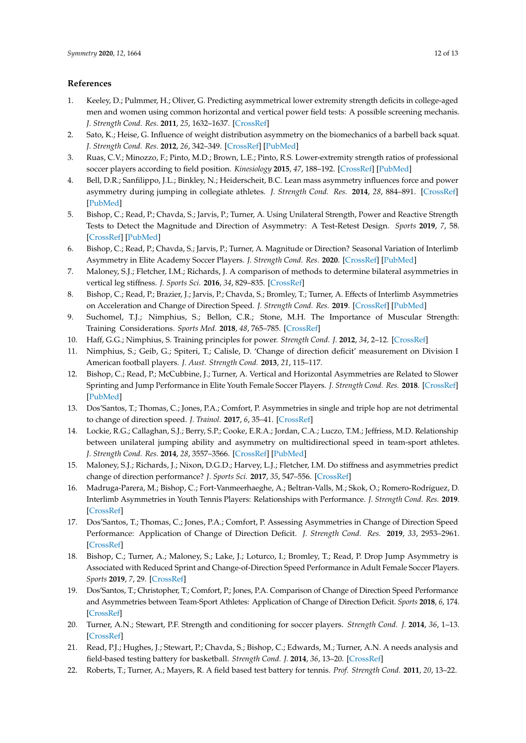# **References**

- <span id="page-11-0"></span>1. Keeley, D.; Pulmmer, H.; Oliver, G. Predicting asymmetrical lower extremity strength deficits in college-aged men and women using common horizontal and vertical power field tests: A possible screening mechanis. *J. Strength Cond. Res.* **2011**, *25*, 1632–1637. [\[CrossRef\]](http://dx.doi.org/10.1519/JSC.0b013e3181ddf690)
- <span id="page-11-1"></span>2. Sato, K.; Heise, G. Influence of weight distribution asymmetry on the biomechanics of a barbell back squat. *J. Strength Cond. Res.* **2012**, *26*, 342–349. [\[CrossRef\]](http://dx.doi.org/10.1519/JSC.0b013e318220e0a3) [\[PubMed\]](http://www.ncbi.nlm.nih.gov/pubmed/22228110)
- <span id="page-11-2"></span>3. Ruas, C.V.; Minozzo, F.; Pinto, M.D.; Brown, L.E.; Pinto, R.S. Lower-extremity strength ratios of professional soccer players according to field position. *Kinesiology* **2015**, *47*, 188–192. [\[CrossRef\]](http://dx.doi.org/10.1519/JSC.0000000000000766) [\[PubMed\]](http://www.ncbi.nlm.nih.gov/pubmed/25436632)
- <span id="page-11-3"></span>4. Bell, D.R.; Sanfilippo, J.L.; Binkley, N.; Heiderscheit, B.C. Lean mass asymmetry influences force and power asymmetry during jumping in collegiate athletes. *J. Strength Cond. Res.* **2014**, *28*, 884–891. [\[CrossRef\]](http://dx.doi.org/10.1519/JSC.0000000000000367) [\[PubMed\]](http://www.ncbi.nlm.nih.gov/pubmed/24402449)
- <span id="page-11-11"></span>5. Bishop, C.; Read, P.; Chavda, S.; Jarvis, P.; Turner, A. Using Unilateral Strength, Power and Reactive Strength Tests to Detect the Magnitude and Direction of Asymmetry: A Test-Retest Design. *Sports* **2019**, *7*, 58. [\[CrossRef\]](http://dx.doi.org/10.3390/sports7030058) [\[PubMed\]](http://www.ncbi.nlm.nih.gov/pubmed/30836623)
- <span id="page-11-21"></span>6. Bishop, C.; Read, P.; Chavda, S.; Jarvis, P.; Turner, A. Magnitude or Direction? Seasonal Variation of Interlimb Asymmetry in Elite Academy Soccer Players. *J. Strength Cond. Res.* **2020**. [\[CrossRef\]](http://dx.doi.org/10.1519/JSC.0000000000003565) [\[PubMed\]](http://www.ncbi.nlm.nih.gov/pubmed/32149878)
- <span id="page-11-4"></span>7. Maloney, S.J.; Fletcher, I.M.; Richards, J. A comparison of methods to determine bilateral asymmetries in vertical leg stiffness. *J. Sports Sci.* **2016**, *34*, 829–835. [\[CrossRef\]](http://dx.doi.org/10.1080/02640414.2015.1075055)
- <span id="page-11-5"></span>8. Bishop, C.; Read, P.; Brazier, J.; Jarvis, P.; Chavda, S.; Bromley, T.; Turner, A. Effects of Interlimb Asymmetries on Acceleration and Change of Direction Speed. *J. Strength Cond. Res.* **2019**. [\[CrossRef\]](http://dx.doi.org/10.1519/JSC.0000000000003135) [\[PubMed\]](http://www.ncbi.nlm.nih.gov/pubmed/31008864)
- <span id="page-11-6"></span>9. Suchomel, T.J.; Nimphius, S.; Bellon, C.R.; Stone, M.H. The Importance of Muscular Strength: Training Considerations. *Sports Med.* **2018**, *48*, 765–785. [\[CrossRef\]](http://dx.doi.org/10.1007/s40279-018-0862-z)
- <span id="page-11-7"></span>10. Haff, G.G.; Nimphius, S. Training principles for power. *Strength Cond. J.* **2012**, *34*, 2–12. [\[CrossRef\]](http://dx.doi.org/10.1519/SSC.0b013e31826db467)
- <span id="page-11-8"></span>11. Nimphius, S.; Geib, G.; Spiteri, T.; Calisle, D. 'Change of direction deficit' measurement on Division I American football players. *J. Aust. Strength Cond.* **2013**, *21*, 115–117.
- <span id="page-11-9"></span>12. Bishop, C.; Read, P.; McCubbine, J.; Turner, A. Vertical and Horizontal Asymmetries are Related to Slower Sprinting and Jump Performance in Elite Youth Female Soccer Players. *J. Strength Cond. Res.* **2018**. [\[CrossRef\]](http://dx.doi.org/10.1519/JSC.0000000000002544) [\[PubMed\]](http://www.ncbi.nlm.nih.gov/pubmed/29489719)
- <span id="page-11-12"></span>13. Dos'Santos, T.; Thomas, C.; Jones, P.A.; Comfort, P. Asymmetries in single and triple hop are not detrimental to change of direction speed. *J. Trainol.* **2017**, *6*, 35–41. [\[CrossRef\]](http://dx.doi.org/10.17338/trainology.6.2_35)
- <span id="page-11-10"></span>14. Lockie, R.G.; Callaghan, S.J.; Berry, S.P.; Cooke, E.R.A.; Jordan, C.A.; Luczo, T.M.; Jeffriess, M.D. Relationship between unilateral jumping ability and asymmetry on multidirectional speed in team-sport athletes. *J. Strength Cond. Res.* **2014**, *28*, 3557–3566. [\[CrossRef\]](http://dx.doi.org/10.1519/JSC.0000000000000588) [\[PubMed\]](http://www.ncbi.nlm.nih.gov/pubmed/24942166)
- <span id="page-11-13"></span>15. Maloney, S.J.; Richards, J.; Nixon, D.G.D.; Harvey, L.J.; Fletcher, I.M. Do stiffness and asymmetries predict change of direction performance? *J. Sports Sci.* **2017**, *35*, 547–556. [\[CrossRef\]](http://dx.doi.org/10.1080/02640414.2016.1179775)
- <span id="page-11-14"></span>16. Madruga-Parera, M.; Bishop, C.; Fort-Vanmeerhaeghe, A.; Beltran-Valls, M.; Skok, O.; Romero-Rodríguez, D. Interlimb Asymmetries in Youth Tennis Players: Relationships with Performance. *J. Strength Cond. Res.* **2019**. [\[CrossRef\]](http://dx.doi.org/10.1519/JSC.0000000000003152)
- <span id="page-11-15"></span>17. Dos'Santos, T.; Thomas, C.; Jones, P.A.; Comfort, P. Assessing Asymmetries in Change of Direction Speed Performance: Application of Change of Direction Deficit. *J. Strength Cond. Res.* **2019**, *33*, 2953–2961. [\[CrossRef\]](http://dx.doi.org/10.1519/JSC.0000000000002438)
- <span id="page-11-16"></span>18. Bishop, C.; Turner, A.; Maloney, S.; Lake, J.; Loturco, I.; Bromley, T.; Read, P. Drop Jump Asymmetry is Associated with Reduced Sprint and Change-of-Direction Speed Performance in Adult Female Soccer Players. *Sports* **2019**, *7*, 29. [\[CrossRef\]](http://dx.doi.org/10.3390/sports7010029)
- <span id="page-11-17"></span>19. Dos'Santos, T.; Christopher, T.; Comfort, P.; Jones, P.A. Comparison of Change of Direction Speed Performance and Asymmetries between Team-Sport Athletes: Application of Change of Direction Deficit. *Sports* **2018**, *6*, 174. [\[CrossRef\]](http://dx.doi.org/10.3390/sports6040174)
- <span id="page-11-18"></span>20. Turner, A.N.; Stewart, P.F. Strength and conditioning for soccer players. *Strength Cond. J.* **2014**, *36*, 1–13. [\[CrossRef\]](http://dx.doi.org/10.1519/SSC.0000000000000054)
- <span id="page-11-19"></span>21. Read, P.J.; Hughes, J.; Stewart, P.; Chavda, S.; Bishop, C.; Edwards, M.; Turner, A.N. A needs analysis and field-based testing battery for basketball. *Strength Cond. J.* **2014**, *36*, 13–20. [\[CrossRef\]](http://dx.doi.org/10.1519/SSC.0000000000000051)
- <span id="page-11-20"></span>22. Roberts, T.; Turner, A.; Mayers, R. A field based test battery for tennis. *Prof. Strength Cond.* **2011**, *20*, 13–22.